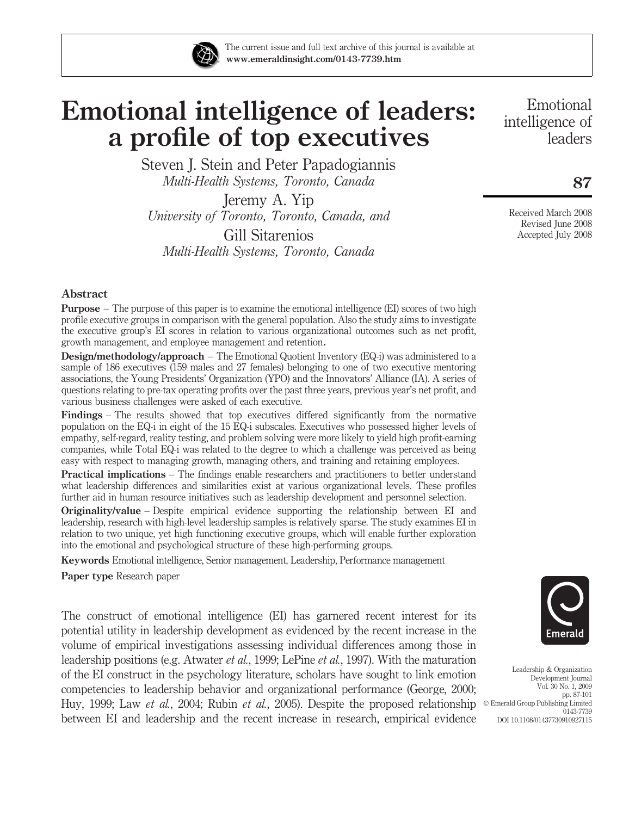

The current issue and full text archive of this journal is available at www.emeraldinsight.com/0143-7739.htm

# Emotional intelligence of leaders: a profile of top executives

Steven J. Stein and Peter Papadogiannis Multi-Health Systems, Toronto, Canada

Jeremy A. Yip University of Toronto, Toronto, Canada, and

Gill Sitarenios Multi-Health Systems, Toronto, Canada

Emotional intelligence of leaders

87

Received March 2008 Revised June 2008 Accepted July 2008

# Abstract

Purpose – The purpose of this paper is to examine the emotional intelligence (EI) scores of two high profile executive groups in comparison with the general population. Also the study aims to investigate the executive group's EI scores in relation to various organizational outcomes such as net profit, growth management, and employee management and retention.

Design/methodology/approach – The Emotional Quotient Inventory (EQ-i) was administered to a sample of 186 executives (159 males and 27 females) belonging to one of two executive mentoring associations, the Young Presidents' Organization (YPO) and the Innovators' Alliance (IA). A series of questions relating to pre-tax operating profits over the past three years, previous year's net profit, and various business challenges were asked of each executive.

Findings – The results showed that top executives differed significantly from the normative population on the EQ-i in eight of the 15 EQ-i subscales. Executives who possessed higher levels of empathy, self-regard, reality testing, and problem solving were more likely to yield high profit-earning companies, while Total EQ-i was related to the degree to which a challenge was perceived as being easy with respect to managing growth, managing others, and training and retaining employees.

Practical implications – The findings enable researchers and practitioners to better understand what leadership differences and similarities exist at various organizational levels. These profiles further aid in human resource initiatives such as leadership development and personnel selection.

Originality/value – Despite empirical evidence supporting the relationship between EI and leadership, research with high-level leadership samples is relatively sparse. The study examines EI in relation to two unique, yet high functioning executive groups, which will enable further exploration into the emotional and psychological structure of these high-performing groups.

Keywords Emotional intelligence, Senior management, Leadership, Performance management

Paper type Research paper

The construct of emotional intelligence (EI) has garnered recent interest for its potential utility in leadership development as evidenced by the recent increase in the volume of empirical investigations assessing individual differences among those in leadership positions (e.g. Atwater et al., 1999; LePine et al., 1997). With the maturation of the EI construct in the psychology literature, scholars have sought to link emotion competencies to leadership behavior and organizational performance (George, 2000; Huy, 1999; Law et al., 2004; Rubin et al., 2005). Despite the proposed relationship © Emerald Group Publishing Limited between EI and leadership and the recent increase in research, empirical evidence



Leadership & Organization Development Journal Vol. 30 No. 1, 2009 pp. 87-101 0143-7739 DOI 10.1108/01437730910927115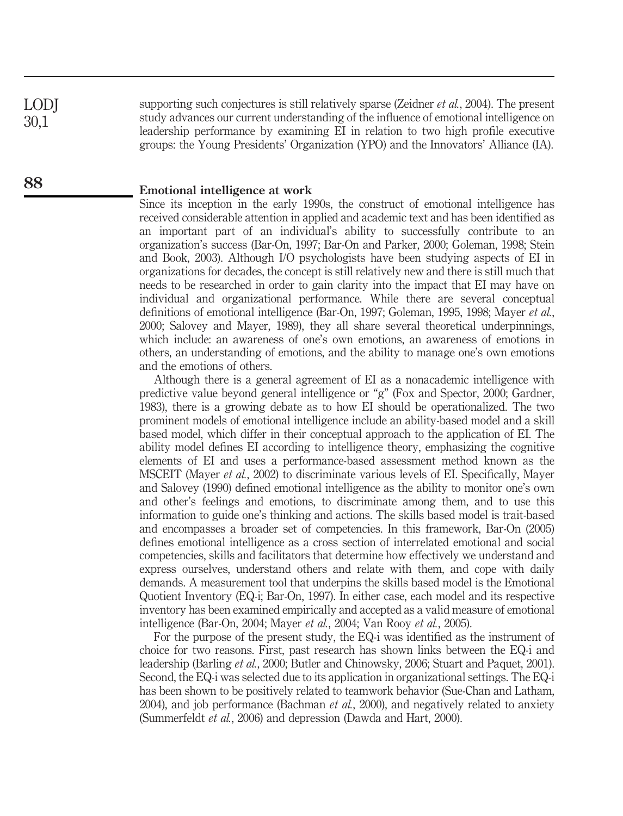LODJ 30,1

88

supporting such conjectures is still relatively sparse (Zeidner et al., 2004). The present study advances our current understanding of the influence of emotional intelligence on leadership performance by examining EI in relation to two high profile executive groups: the Young Presidents' Organization (YPO) and the Innovators' Alliance (IA).

#### Emotional intelligence at work

Since its inception in the early 1990s, the construct of emotional intelligence has received considerable attention in applied and academic text and has been identified as an important part of an individual's ability to successfully contribute to an organization's success (Bar-On, 1997; Bar-On and Parker, 2000; Goleman, 1998; Stein and Book, 2003). Although I/O psychologists have been studying aspects of EI in organizations for decades, the concept is still relatively new and there is still much that needs to be researched in order to gain clarity into the impact that EI may have on individual and organizational performance. While there are several conceptual definitions of emotional intelligence (Bar-On, 1997; Goleman, 1995, 1998; Mayer et al., 2000; Salovey and Mayer, 1989), they all share several theoretical underpinnings, which include: an awareness of one's own emotions, an awareness of emotions in others, an understanding of emotions, and the ability to manage one's own emotions and the emotions of others.

Although there is a general agreement of EI as a nonacademic intelligence with predictive value beyond general intelligence or "g" (Fox and Spector, 2000; Gardner, 1983), there is a growing debate as to how EI should be operationalized. The two prominent models of emotional intelligence include an ability-based model and a skill based model, which differ in their conceptual approach to the application of EI. The ability model defines EI according to intelligence theory, emphasizing the cognitive elements of EI and uses a performance-based assessment method known as the MSCEIT (Mayer et al., 2002) to discriminate various levels of EI. Specifically, Mayer and Salovey (1990) defined emotional intelligence as the ability to monitor one's own and other's feelings and emotions, to discriminate among them, and to use this information to guide one's thinking and actions. The skills based model is trait-based and encompasses a broader set of competencies. In this framework, Bar-On (2005) defines emotional intelligence as a cross section of interrelated emotional and social competencies, skills and facilitators that determine how effectively we understand and express ourselves, understand others and relate with them, and cope with daily demands. A measurement tool that underpins the skills based model is the Emotional Quotient Inventory (EQ-i; Bar-On, 1997). In either case, each model and its respective inventory has been examined empirically and accepted as a valid measure of emotional intelligence (Bar-On, 2004; Mayer et al., 2004; Van Rooy et al., 2005).

For the purpose of the present study, the EQ-i was identified as the instrument of choice for two reasons. First, past research has shown links between the EQ-i and leadership (Barling et al., 2000; Butler and Chinowsky, 2006; Stuart and Paquet, 2001). Second, the EQ-i was selected due to its application in organizational settings. The EQ-i has been shown to be positively related to teamwork behavior (Sue-Chan and Latham, 2004), and job performance (Bachman *et al.*, 2000), and negatively related to anxiety (Summerfeldt et al., 2006) and depression (Dawda and Hart, 2000).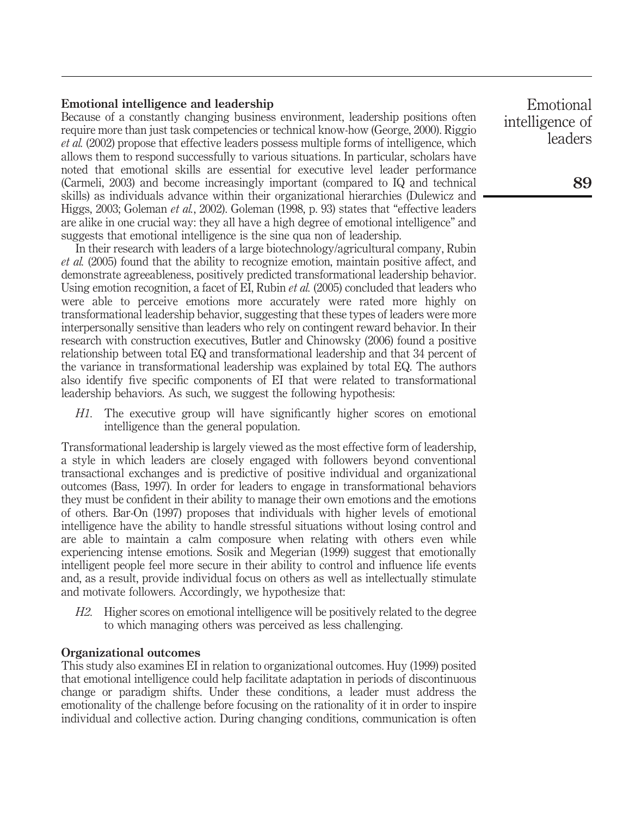# Emotional intelligence and leadership

Because of a constantly changing business environment, leadership positions often require more than just task competencies or technical know-how (George, 2000). Riggio et al. (2002) propose that effective leaders possess multiple forms of intelligence, which allows them to respond successfully to various situations. In particular, scholars have noted that emotional skills are essential for executive level leader performance (Carmeli, 2003) and become increasingly important (compared to IQ and technical skills) as individuals advance within their organizational hierarchies (Dulewicz and Higgs, 2003; Goleman et al., 2002). Goleman (1998, p. 93) states that "effective leaders are alike in one crucial way: they all have a high degree of emotional intelligence" and suggests that emotional intelligence is the sine qua non of leadership.

In their research with leaders of a large biotechnology/agricultural company, Rubin et al. (2005) found that the ability to recognize emotion, maintain positive affect, and demonstrate agreeableness, positively predicted transformational leadership behavior. Using emotion recognition, a facet of EI, Rubin *et al.* (2005) concluded that leaders who were able to perceive emotions more accurately were rated more highly on transformational leadership behavior, suggesting that these types of leaders were more interpersonally sensitive than leaders who rely on contingent reward behavior. In their research with construction executives, Butler and Chinowsky (2006) found a positive relationship between total EQ and transformational leadership and that 34 percent of the variance in transformational leadership was explained by total EQ. The authors also identify five specific components of EI that were related to transformational leadership behaviors. As such, we suggest the following hypothesis:

H1. The executive group will have significantly higher scores on emotional intelligence than the general population.

Transformational leadership is largely viewed as the most effective form of leadership, a style in which leaders are closely engaged with followers beyond conventional transactional exchanges and is predictive of positive individual and organizational outcomes (Bass, 1997). In order for leaders to engage in transformational behaviors they must be confident in their ability to manage their own emotions and the emotions of others. Bar-On (1997) proposes that individuals with higher levels of emotional intelligence have the ability to handle stressful situations without losing control and are able to maintain a calm composure when relating with others even while experiencing intense emotions. Sosik and Megerian (1999) suggest that emotionally intelligent people feel more secure in their ability to control and influence life events and, as a result, provide individual focus on others as well as intellectually stimulate and motivate followers. Accordingly, we hypothesize that:

H2. Higher scores on emotional intelligence will be positively related to the degree to which managing others was perceived as less challenging.

### Organizational outcomes

This study also examines EI in relation to organizational outcomes. Huy (1999) posited that emotional intelligence could help facilitate adaptation in periods of discontinuous change or paradigm shifts. Under these conditions, a leader must address the emotionality of the challenge before focusing on the rationality of it in order to inspire individual and collective action. During changing conditions, communication is often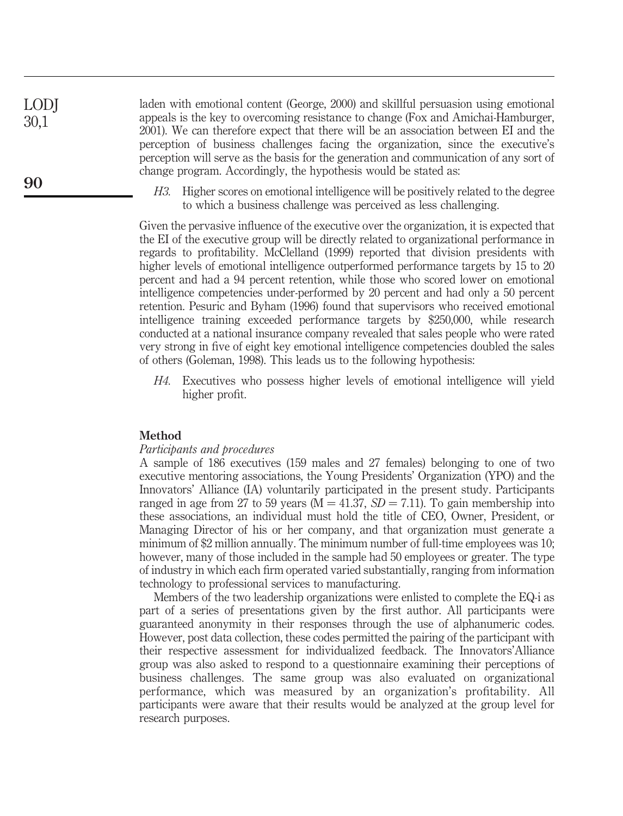laden with emotional content (George, 2000) and skillful persuasion using emotional appeals is the key to overcoming resistance to change (Fox and Amichai-Hamburger, 2001). We can therefore expect that there will be an association between EI and the perception of business challenges facing the organization, since the executive's perception will serve as the basis for the generation and communication of any sort of change program. Accordingly, the hypothesis would be stated as:

H3. Higher scores on emotional intelligence will be positively related to the degree to which a business challenge was perceived as less challenging.

Given the pervasive influence of the executive over the organization, it is expected that the EI of the executive group will be directly related to organizational performance in regards to profitability. McClelland (1999) reported that division presidents with higher levels of emotional intelligence outperformed performance targets by 15 to 20 percent and had a 94 percent retention, while those who scored lower on emotional intelligence competencies under-performed by 20 percent and had only a 50 percent retention. Pesuric and Byham (1996) found that supervisors who received emotional intelligence training exceeded performance targets by \$250,000, while research conducted at a national insurance company revealed that sales people who were rated very strong in five of eight key emotional intelligence competencies doubled the sales of others (Goleman, 1998). This leads us to the following hypothesis:

H4. Executives who possess higher levels of emotional intelligence will yield higher profit.

### Method

#### Participants and procedures

A sample of 186 executives (159 males and 27 females) belonging to one of two executive mentoring associations, the Young Presidents' Organization (YPO) and the Innovators' Alliance (IA) voluntarily participated in the present study. Participants ranged in age from 27 to 59 years ( $M = 41.37$ ,  $SD = 7.11$ ). To gain membership into these associations, an individual must hold the title of CEO, Owner, President, or Managing Director of his or her company, and that organization must generate a minimum of \$2 million annually. The minimum number of full-time employees was 10; however, many of those included in the sample had 50 employees or greater. The type of industry in which each firm operated varied substantially, ranging from information technology to professional services to manufacturing.

Members of the two leadership organizations were enlisted to complete the EQ-i as part of a series of presentations given by the first author. All participants were guaranteed anonymity in their responses through the use of alphanumeric codes. However, post data collection, these codes permitted the pairing of the participant with their respective assessment for individualized feedback. The Innovators'Alliance group was also asked to respond to a questionnaire examining their perceptions of business challenges. The same group was also evaluated on organizational performance, which was measured by an organization's profitability. All participants were aware that their results would be analyzed at the group level for research purposes.

LODJ 30,1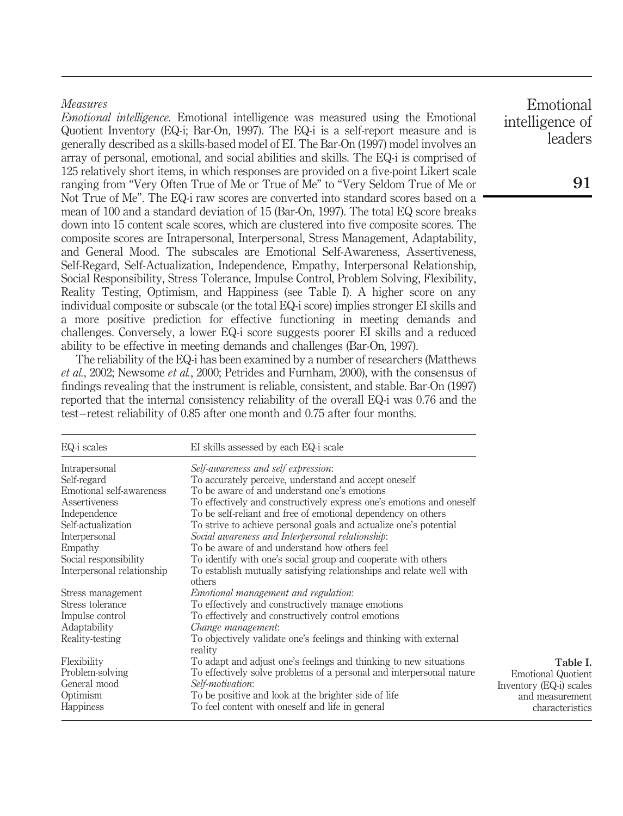# Measures

Emotional intelligence. Emotional intelligence was measured using the Emotional Quotient Inventory (EQ-i; Bar-On, 1997). The EQ-i is a self-report measure and is generally described as a skills-based model of EI. The Bar-On (1997) model involves an array of personal, emotional, and social abilities and skills. The EQ-i is comprised of 125 relatively short items, in which responses are provided on a five-point Likert scale ranging from "Very Often True of Me or True of Me" to "Very Seldom True of Me or Not True of Me". The EQ-i raw scores are converted into standard scores based on a mean of 100 and a standard deviation of 15 (Bar-On, 1997). The total EQ score breaks down into 15 content scale scores, which are clustered into five composite scores. The composite scores are Intrapersonal, Interpersonal, Stress Management, Adaptability, and General Mood. The subscales are Emotional Self-Awareness, Assertiveness, Self-Regard, Self-Actualization, Independence, Empathy, Interpersonal Relationship, Social Responsibility, Stress Tolerance, Impulse Control, Problem Solving, Flexibility, Reality Testing, Optimism, and Happiness (see Table I). A higher score on any individual composite or subscale (or the total EQ-i score) implies stronger EI skills and a more positive prediction for effective functioning in meeting demands and challenges. Conversely, a lower EQ-i score suggests poorer EI skills and a reduced ability to be effective in meeting demands and challenges (Bar-On, 1997).

The reliability of the EQ-i has been examined by a number of researchers (Matthews et al., 2002; Newsome et al., 2000; Petrides and Furnham, 2000), with the consensus of findings revealing that the instrument is reliable, consistent, and stable. Bar-On (1997) reported that the internal consistency reliability of the overall EQ-i was 0.76 and the test–retest reliability of 0.85 after one month and 0.75 after four months.

| EQ-i scales                | EI skills assessed by each EQ-i scale                                        |                           |
|----------------------------|------------------------------------------------------------------------------|---------------------------|
| Intrapersonal              | Self-awareness and self expression:                                          |                           |
| Self-regard                | To accurately perceive, understand and accept oneself                        |                           |
| Emotional self-awareness   | To be aware of and understand one's emotions                                 |                           |
| Assertiveness              | To effectively and constructively express one's emotions and oneself         |                           |
| Independence               | To be self-reliant and free of emotional dependency on others                |                           |
| Self-actualization         | To strive to achieve personal goals and actualize one's potential            |                           |
| Interpersonal              | Social awareness and Interpersonal relationship:                             |                           |
| Empathy                    | To be aware of and understand how others feel                                |                           |
| Social responsibility      | To identify with one's social group and cooperate with others                |                           |
| Interpersonal relationship | To establish mutually satisfying relationships and relate well with          |                           |
|                            | others                                                                       |                           |
| Stress management          | Emotional management and regulation:                                         |                           |
| Stress tolerance           | To effectively and constructively manage emotions                            |                           |
| Impulse control            | To effectively and constructively control emotions                           |                           |
| Adaptability               | Change management:                                                           |                           |
| Reality-testing            | To objectively validate one's feelings and thinking with external<br>reality |                           |
| Flexibility                | To adapt and adjust one's feelings and thinking to new situations            | Table I.                  |
| Problem-solving            | To effectively solve problems of a personal and interpersonal nature         | <b>Emotional Quotient</b> |
| General mood               | Self-motivation:                                                             | Inventory (EQ-i) scales   |
| Optimism                   | To be positive and look at the brighter side of life                         | and measurement           |
| <b>Happiness</b>           | To feel content with oneself and life in general                             | characteristics           |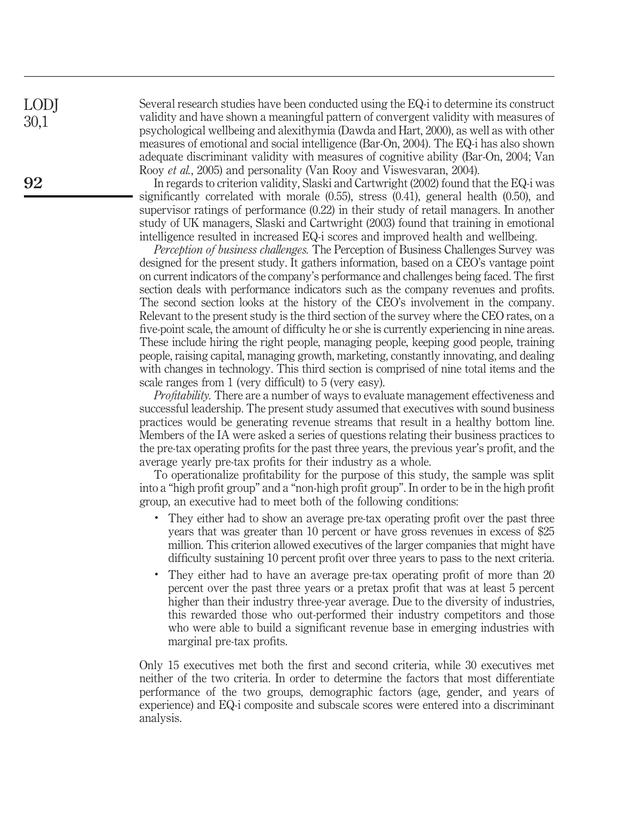Several research studies have been conducted using the EQ-i to determine its construct validity and have shown a meaningful pattern of convergent validity with measures of psychological wellbeing and alexithymia (Dawda and Hart, 2000), as well as with other measures of emotional and social intelligence (Bar-On, 2004). The EQ-i has also shown adequate discriminant validity with measures of cognitive ability (Bar-On, 2004; Van Rooy et al., 2005) and personality (Van Rooy and Viswesvaran, 2004).

In regards to criterion validity, Slaski and Cartwright (2002) found that the EQ-i was significantly correlated with morale (0.55), stress (0.41), general health (0.50), and supervisor ratings of performance (0.22) in their study of retail managers. In another study of UK managers, Slaski and Cartwright (2003) found that training in emotional intelligence resulted in increased EQ-i scores and improved health and wellbeing.

Perception of business challenges. The Perception of Business Challenges Survey was designed for the present study. It gathers information, based on a CEO's vantage point on current indicators of the company's performance and challenges being faced. The first section deals with performance indicators such as the company revenues and profits. The second section looks at the history of the CEO's involvement in the company. Relevant to the present study is the third section of the survey where the CEO rates, on a five-point scale, the amount of difficulty he or she is currently experiencing in nine areas. These include hiring the right people, managing people, keeping good people, training people, raising capital, managing growth, marketing, constantly innovating, and dealing with changes in technology. This third section is comprised of nine total items and the scale ranges from 1 (very difficult) to 5 (very easy).

Profitability. There are a number of ways to evaluate management effectiveness and successful leadership. The present study assumed that executives with sound business practices would be generating revenue streams that result in a healthy bottom line. Members of the IA were asked a series of questions relating their business practices to the pre-tax operating profits for the past three years, the previous year's profit, and the average yearly pre-tax profits for their industry as a whole.

To operationalize profitability for the purpose of this study, the sample was split into a "high profit group" and a "non-high profit group". In order to be in the high profit group, an executive had to meet both of the following conditions:

- . They either had to show an average pre-tax operating profit over the past three years that was greater than 10 percent or have gross revenues in excess of \$25 million. This criterion allowed executives of the larger companies that might have difficulty sustaining 10 percent profit over three years to pass to the next criteria.
- . They either had to have an average pre-tax operating profit of more than 20 percent over the past three years or a pretax profit that was at least 5 percent higher than their industry three-year average. Due to the diversity of industries, this rewarded those who out-performed their industry competitors and those who were able to build a significant revenue base in emerging industries with marginal pre-tax profits.

Only 15 executives met both the first and second criteria, while 30 executives met neither of the two criteria. In order to determine the factors that most differentiate performance of the two groups, demographic factors (age, gender, and years of experience) and EQ-i composite and subscale scores were entered into a discriminant analysis.

LODJ 30,1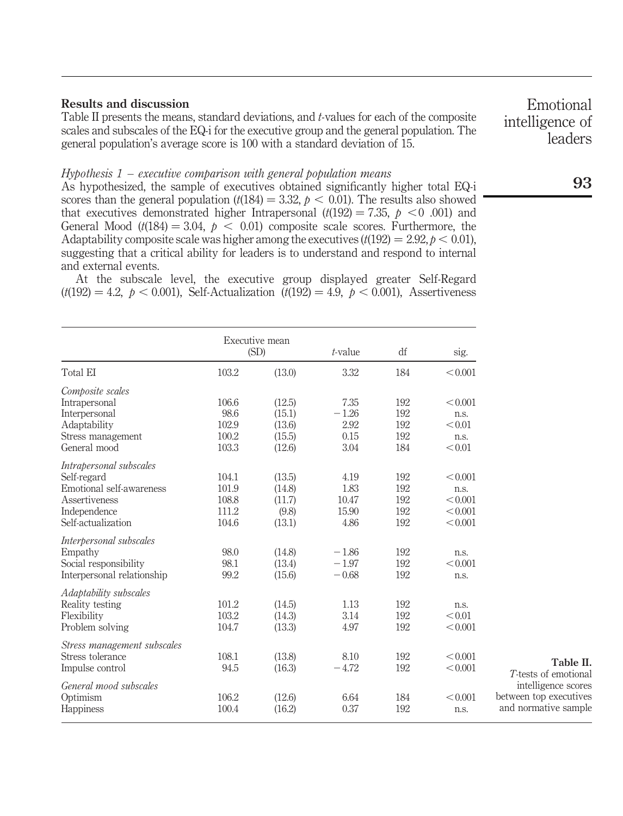#### Results and discussion

Table II presents the means, standard deviations, and t-values for each of the composite scales and subscales of the EQ-i for the executive group and the general population. The general population's average score is 100 with a standard deviation of 15.

#### Hypothesis  $1$  – executive comparison with general population means

As hypothesized, the sample of executives obtained significantly higher total EQ-i scores than the general population  $(t(184) = 3.32, p < 0.01)$ . The results also showed that executives demonstrated higher Intrapersonal  $(t(192) = 7.35, b \le 0.001)$  and General Mood ( $t(184) = 3.04$ ,  $p < 0.01$ ) composite scale scores. Furthermore, the Adaptability composite scale was higher among the executives  $(t(192) = 2.92, p < 0.01)$ , suggesting that a critical ability for leaders is to understand and respond to internal and external events.

At the subscale level, the executive group displayed greater Self-Regard  $(t(192) = 4.2, p < 0.001)$ , Self-Actualization  $(t(192) = 4.9, p < 0.001)$ , Assertiveness

|                             | Executive mean<br>(SD) |        | $t$ -value | df  | sig.    |                                   |
|-----------------------------|------------------------|--------|------------|-----|---------|-----------------------------------|
| <b>Total EI</b>             | 103.2                  | (13.0) | 3.32       | 184 | < 0.001 |                                   |
| Composite scales            |                        |        |            |     |         |                                   |
| Intrapersonal               | 106.6                  | (12.5) | 7.35       | 192 | < 0.001 |                                   |
| Interpersonal               | 98.6                   | (15.1) | $-1.26$    | 192 | n.s.    |                                   |
| Adaptability                | 102.9                  | (13.6) | 2.92       | 192 | < 0.01  |                                   |
| Stress management           | 100.2                  | (15.5) | 0.15       | 192 | n.s.    |                                   |
| General mood                | 103.3                  | (12.6) | 3.04       | 184 | < 0.01  |                                   |
| Intrapersonal subscales     |                        |        |            |     |         |                                   |
| Self-regard                 | 104.1                  | (13.5) | 4.19       | 192 | < 0.001 |                                   |
| Emotional self-awareness    | 101.9                  | (14.8) | 1.83       | 192 | n.s.    |                                   |
| Assertiveness               | 108.8                  | (11.7) | 10.47      | 192 | < 0.001 |                                   |
| Independence                | 111.2                  | (9.8)  | 15.90      | 192 | < 0.001 |                                   |
| Self-actualization          | 104.6                  | (13.1) | 4.86       | 192 | < 0.001 |                                   |
| Interpersonal subscales     |                        |        |            |     |         |                                   |
| Empathy                     | 98.0                   | (14.8) | $-1.86$    | 192 | n.s.    |                                   |
| Social responsibility       | 98.1                   | (13.4) | $-1.97$    | 192 | < 0.001 |                                   |
| Interpersonal relationship  | 99.2                   | (15.6) | $-0.68$    | 192 | n.s.    |                                   |
| Adaptability subscales      |                        |        |            |     |         |                                   |
| Reality testing             | 101.2                  | (14.5) | 1.13       | 192 | n.s.    |                                   |
| Flexibility                 | 103.2                  | (14.3) | 3.14       | 192 | < 0.01  |                                   |
| Problem solving             | 104.7                  | (13.3) | 4.97       | 192 | < 0.001 |                                   |
| Stress management subscales |                        |        |            |     |         |                                   |
| Stress tolerance            | 108.1                  | (13.8) | 8.10       | 192 | < 0.001 |                                   |
| Impulse control             | 94.5                   | (16.3) | $-4.72$    | 192 | < 0.001 | Table II.<br>T-tests of emotional |
| General mood subscales      |                        |        |            |     |         | intelligence scores               |
| Optimism                    | 106.2                  | (12.6) | 6.64       | 184 | < 0.001 | between top executives            |
| <b>Happiness</b>            | 100.4                  | (16.2) | 0.37       | 192 | n.s.    | and normative sample              |
|                             |                        |        |            |     |         |                                   |

Emotional intelligence of leaders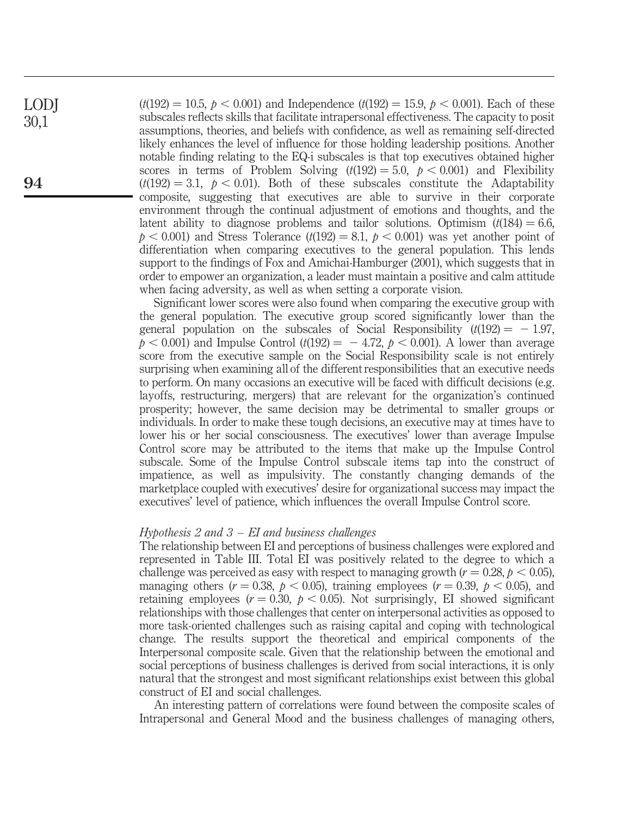LODJ 30,1

94

 $(t(192) = 10.5, p < 0.001)$  and Independence  $(t(192) = 15.9, p < 0.001)$ . Each of these subscales reflects skills that facilitate intrapersonal effectiveness. The capacity to posit assumptions, theories, and beliefs with confidence, as well as remaining self-directed likely enhances the level of influence for those holding leadership positions. Another notable finding relating to the EQ-i subscales is that top executives obtained higher scores in terms of Problem Solving  $(t(192) = 5.0, p < 0.001)$  and Flexibility  $(t(192) = 3.1, p < 0.01)$ . Both of these subscales constitute the Adaptability composite, suggesting that executives are able to survive in their corporate environment through the continual adjustment of emotions and thoughts, and the latent ability to diagnose problems and tailor solutions. Optimism  $(t(184) = 6.6$ ,  $p < 0.001$ ) and Stress Tolerance (t(192) = 8.1,  $p < 0.001$ ) was yet another point of differentiation when comparing executives to the general population. This lends support to the findings of Fox and Amichai-Hamburger (2001), which suggests that in order to empower an organization, a leader must maintain a positive and calm attitude when facing adversity, as well as when setting a corporate vision.

Significant lower scores were also found when comparing the executive group with the general population. The executive group scored significantly lower than the general population on the subscales of Social Responsibility  $(t(192) = -1.97$ ,  $p < 0.001$  and Impulse Control (t(192) = -4.72,  $p < 0.001$ ). A lower than average score from the executive sample on the Social Responsibility scale is not entirely surprising when examining all of the different responsibilities that an executive needs to perform. On many occasions an executive will be faced with difficult decisions (e.g. layoffs, restructuring, mergers) that are relevant for the organization's continued prosperity; however, the same decision may be detrimental to smaller groups or individuals. In order to make these tough decisions, an executive may at times have to lower his or her social consciousness. The executives' lower than average Impulse Control score may be attributed to the items that make up the Impulse Control subscale. Some of the Impulse Control subscale items tap into the construct of impatience, as well as impulsivity. The constantly changing demands of the marketplace coupled with executives' desire for organizational success may impact the executives' level of patience, which influences the overall Impulse Control score.

#### Hypothesis 2 and  $3$  – EI and business challenges

The relationship between EI and perceptions of business challenges were explored and represented in Table III. Total EI was positively related to the degree to which a challenge was perceived as easy with respect to managing growth  $(r = 0.28, p < 0.05)$ , managing others ( $r = 0.38$ ,  $p < 0.05$ ), training employees ( $r = 0.39$ ,  $p < 0.05$ ), and retaining employees ( $r = 0.30$ ,  $p < 0.05$ ). Not surprisingly, EI showed significant relationships with those challenges that center on interpersonal activities as opposed to more task-oriented challenges such as raising capital and coping with technological change. The results support the theoretical and empirical components of the Interpersonal composite scale. Given that the relationship between the emotional and social perceptions of business challenges is derived from social interactions, it is only natural that the strongest and most significant relationships exist between this global construct of EI and social challenges.

An interesting pattern of correlations were found between the composite scales of Intrapersonal and General Mood and the business challenges of managing others,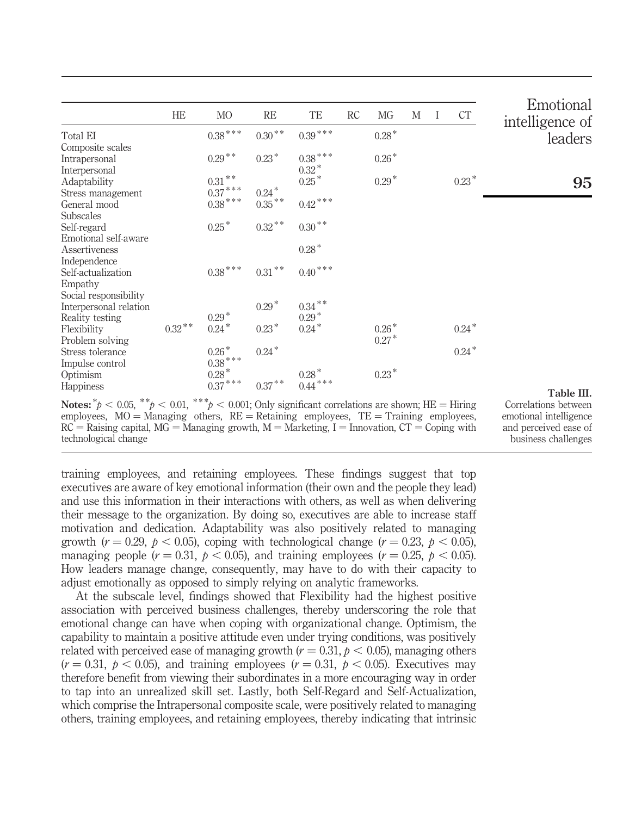|                                                                      | HE        | MO                        | RE                 | TE                        | RC | MG                 | M | $\mathbf I$ | CT       | Emotional<br>intelligence of |
|----------------------------------------------------------------------|-----------|---------------------------|--------------------|---------------------------|----|--------------------|---|-------------|----------|------------------------------|
| Total EI<br>Composite scales                                         |           | $0.38^{\,***}$            | $0.30**$           | $0.39***$                 |    | $0.28*$            |   |             |          | leaders                      |
| Intrapersonal<br>Interpersonal                                       |           | $0.29***$                 | $0.23*$            | $0.38^{\,***}$<br>$0.32*$ |    | $0.26*$            |   |             |          |                              |
| Adaptability<br>Stress management                                    |           | $0.31***$<br>$0.37***$    | $0.24*$            | $0.25*$                   |    | $0.29*$            |   |             | $0.23*$  | 95                           |
| General mood<br><b>Subscales</b>                                     |           | $0.38^{\,***}$            | $0.35\,^{\ast\,*}$ | ${0.42}^{\ast\ast\ast}$   |    |                    |   |             |          |                              |
| Self-regard<br>Emotional self-aware<br>Assertiveness<br>Independence |           | $0.25*$                   | $0.32***$          | $0.30**$<br>$0.28\,^*$    |    |                    |   |             |          |                              |
| Self-actualization<br>Empathy<br>Social responsibility               |           | $0.38^{\,***}$            | $0.31***$          | $0.40^{\,***}$            |    |                    |   |             |          |                              |
| Interpersonal relation<br>Reality testing                            |           | $0.29*$                   | $0.29*$            | $0.34***$<br>$0.29*$      |    |                    |   |             |          |                              |
| Flexibility<br>Problem solving                                       | $0.32***$ | $0.24*$                   | $0.23*$            | $0.24*$                   |    | $0.26*$<br>$0.27*$ |   |             | $0.24$ * |                              |
| Stress tolerance<br>Impulse control                                  |           | $0.26*$<br>$0.38^{\,***}$ | $0.24*$            |                           |    |                    |   |             | $0.24*$  |                              |
| Optimism<br>Happiness                                                |           | $0.28*$<br>$0.37^{\;***}$ | $0.37***$          | $0.28*$<br>$0.44^{\,***}$ |    | $0.23*$            |   |             |          |                              |
|                                                                      |           |                           |                    |                           |    |                    |   |             |          | Table III.                   |

Notes:  $\phi$  < 0.05, \*\* $p$  < 0.01, \*\*\* $p$  < 0.001; Only significant correlations are shown; HE = Hiring employees,  $MO =$  Managing others,  $RE =$  Retaining employees,  $TE =$  Training employees,  $RC =$  Raising capital,  $MG =$  Managing growth,  $M =$  Marketing, I = Innovation,  $CT =$  Coping with technological change

Correlations between emotional intelligence and perceived ease of business challenges

training employees, and retaining employees. These findings suggest that top executives are aware of key emotional information (their own and the people they lead) and use this information in their interactions with others, as well as when delivering their message to the organization. By doing so, executives are able to increase staff motivation and dedication. Adaptability was also positively related to managing growth  $(r = 0.29, p < 0.05)$ , coping with technological change  $(r = 0.23, p < 0.05)$ , managing people  $(r = 0.31, p < 0.05)$ , and training employees  $(r = 0.25, p < 0.05)$ . How leaders manage change, consequently, may have to do with their capacity to adjust emotionally as opposed to simply relying on analytic frameworks.

At the subscale level, findings showed that Flexibility had the highest positive association with perceived business challenges, thereby underscoring the role that emotional change can have when coping with organizational change. Optimism, the capability to maintain a positive attitude even under trying conditions, was positively related with perceived ease of managing growth  $(r = 0.31, p < 0.05)$ , managing others  $(r = 0.31, p < 0.05)$ , and training employees  $(r = 0.31, p < 0.05)$ . Executives may therefore benefit from viewing their subordinates in a more encouraging way in order to tap into an unrealized skill set. Lastly, both Self-Regard and Self-Actualization, which comprise the Intrapersonal composite scale, were positively related to managing others, training employees, and retaining employees, thereby indicating that intrinsic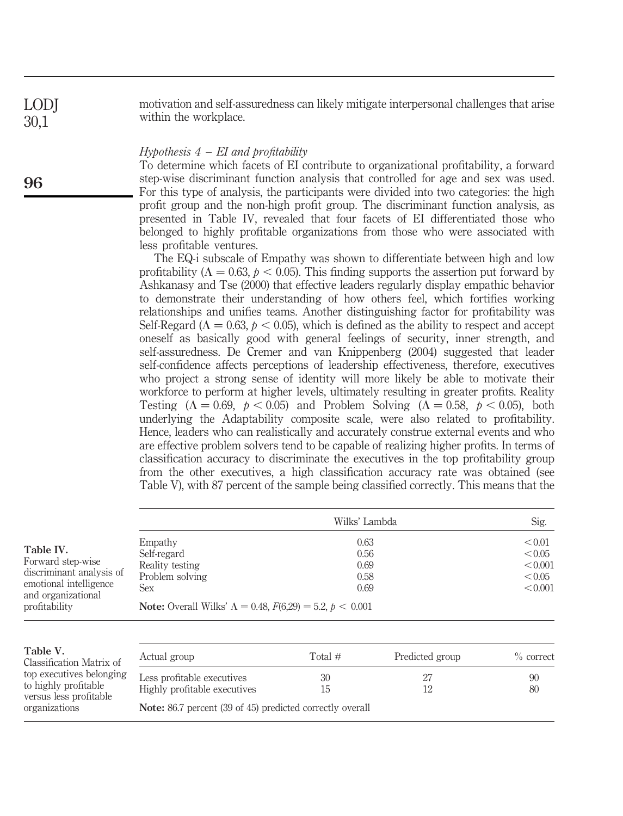LODJ 30,1

96

motivation and self-assuredness can likely mitigate interpersonal challenges that arise within the workplace.

#### Hypothesis  $4$  – EI and profitability

To determine which facets of EI contribute to organizational profitability, a forward step-wise discriminant function analysis that controlled for age and sex was used. For this type of analysis, the participants were divided into two categories: the high profit group and the non-high profit group. The discriminant function analysis, as presented in Table IV, revealed that four facets of EI differentiated those who belonged to highly profitable organizations from those who were associated with less profitable ventures.

The EQ-i subscale of Empathy was shown to differentiate between high and low profitability ( $\Lambda = 0.63$ ,  $p < 0.05$ ). This finding supports the assertion put forward by Ashkanasy and Tse (2000) that effective leaders regularly display empathic behavior to demonstrate their understanding of how others feel, which fortifies working relationships and unifies teams. Another distinguishing factor for profitability was Self-Regard ( $\Lambda = 0.63$ ,  $p < 0.05$ ), which is defined as the ability to respect and accept oneself as basically good with general feelings of security, inner strength, and self-assuredness. De Cremer and van Knippenberg (2004) suggested that leader self-confidence affects perceptions of leadership effectiveness, therefore, executives who project a strong sense of identity will more likely be able to motivate their workforce to perform at higher levels, ultimately resulting in greater profits. Reality Testing  $(\Lambda = 0.69, p < 0.05)$  and Problem Solving  $(\Lambda = 0.58, p < 0.05)$ , both underlying the Adaptability composite scale, were also related to profitability. Hence, leaders who can realistically and accurately construe external events and who are effective problem solvers tend to be capable of realizing higher profits. In terms of classification accuracy to discriminate the executives in the top profitability group from the other executives, a high classification accuracy rate was obtained (see Table V), with 87 percent of the sample being classified correctly. This means that the

|                                                                              |                                      |                 | Sig.                                                                              |  |  |  |  |
|------------------------------------------------------------------------------|--------------------------------------|-----------------|-----------------------------------------------------------------------------------|--|--|--|--|
| Empathy<br>Self-regard<br>Reality testing<br>Problem solving<br><b>Sex</b>   | 0.63<br>0.56<br>0.69<br>0.58<br>0.69 |                 | < 0.01<br>< 0.05<br>< 0.001<br>< 0.05<br>< 0.001                                  |  |  |  |  |
| <b>Note:</b> Overall Wilks' $\Lambda = 0.48$ , $F(6,29) = 5.2$ , $p < 0.001$ |                                      |                 |                                                                                   |  |  |  |  |
| Actual group                                                                 | Total $#$                            | Predicted group | $\%$ correct                                                                      |  |  |  |  |
| Less profitable executives<br>Highly profitable executives                   | 30<br>15                             | 27<br>12        | 90<br>80                                                                          |  |  |  |  |
|                                                                              |                                      |                 | Wilks' Lambda<br><b>Note:</b> 86.7 percent (39 of 45) predicted correctly overall |  |  |  |  |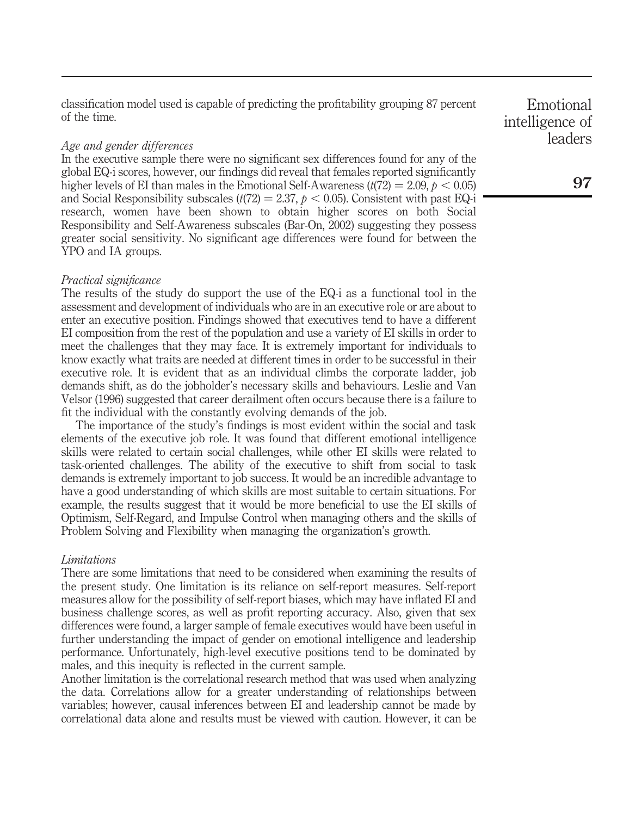classification model used is capable of predicting the profitability grouping 87 percent of the time.

#### Age and gender differences

In the executive sample there were no significant sex differences found for any of the global EQ-i scores, however, our findings did reveal that females reported significantly higher levels of EI than males in the Emotional Self-Awareness ( $t(72) = 2.09, p < 0.05$ ) and Social Responsibility subscales ( $t(72) = 2.37$ ,  $p < 0.05$ ). Consistent with past EQ-i research, women have been shown to obtain higher scores on both Social Responsibility and Self-Awareness subscales (Bar-On, 2002) suggesting they possess greater social sensitivity. No significant age differences were found for between the YPO and IA groups.

#### Practical significance

The results of the study do support the use of the EQ-i as a functional tool in the assessment and development of individuals who are in an executive role or are about to enter an executive position. Findings showed that executives tend to have a different EI composition from the rest of the population and use a variety of EI skills in order to meet the challenges that they may face. It is extremely important for individuals to know exactly what traits are needed at different times in order to be successful in their executive role. It is evident that as an individual climbs the corporate ladder, job demands shift, as do the jobholder's necessary skills and behaviours. Leslie and Van Velsor (1996) suggested that career derailment often occurs because there is a failure to fit the individual with the constantly evolving demands of the job.

The importance of the study's findings is most evident within the social and task elements of the executive job role. It was found that different emotional intelligence skills were related to certain social challenges, while other EI skills were related to task-oriented challenges. The ability of the executive to shift from social to task demands is extremely important to job success. It would be an incredible advantage to have a good understanding of which skills are most suitable to certain situations. For example, the results suggest that it would be more beneficial to use the EI skills of Optimism, Self-Regard, and Impulse Control when managing others and the skills of Problem Solving and Flexibility when managing the organization's growth.

# Limitations

There are some limitations that need to be considered when examining the results of the present study. One limitation is its reliance on self-report measures. Self-report measures allow for the possibility of self-report biases, which may have inflated EI and business challenge scores, as well as profit reporting accuracy. Also, given that sex differences were found, a larger sample of female executives would have been useful in further understanding the impact of gender on emotional intelligence and leadership performance. Unfortunately, high-level executive positions tend to be dominated by males, and this inequity is reflected in the current sample.

Another limitation is the correlational research method that was used when analyzing the data. Correlations allow for a greater understanding of relationships between variables; however, causal inferences between EI and leadership cannot be made by correlational data alone and results must be viewed with caution. However, it can be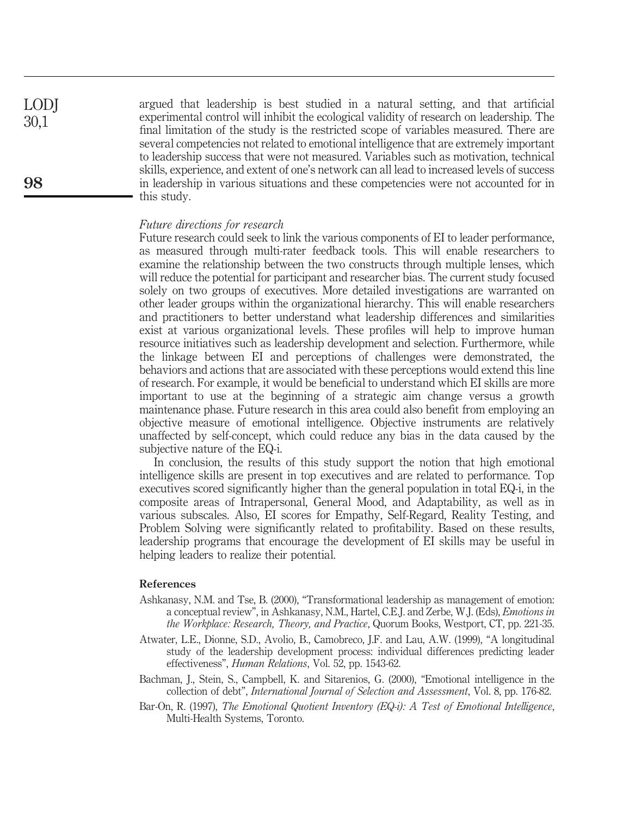argued that leadership is best studied in a natural setting, and that artificial experimental control will inhibit the ecological validity of research on leadership. The final limitation of the study is the restricted scope of variables measured. There are several competencies not related to emotional intelligence that are extremely important to leadership success that were not measured. Variables such as motivation, technical skills, experience, and extent of one's network can all lead to increased levels of success in leadership in various situations and these competencies were not accounted for in this study. LODJ 30,1 98

#### Future directions for research

Future research could seek to link the various components of EI to leader performance, as measured through multi-rater feedback tools. This will enable researchers to examine the relationship between the two constructs through multiple lenses, which will reduce the potential for participant and researcher bias. The current study focused solely on two groups of executives. More detailed investigations are warranted on other leader groups within the organizational hierarchy. This will enable researchers and practitioners to better understand what leadership differences and similarities exist at various organizational levels. These profiles will help to improve human resource initiatives such as leadership development and selection. Furthermore, while the linkage between EI and perceptions of challenges were demonstrated, the behaviors and actions that are associated with these perceptions would extend this line of research. For example, it would be beneficial to understand which EI skills are more important to use at the beginning of a strategic aim change versus a growth maintenance phase. Future research in this area could also benefit from employing an objective measure of emotional intelligence. Objective instruments are relatively unaffected by self-concept, which could reduce any bias in the data caused by the subjective nature of the EQ-i.

In conclusion, the results of this study support the notion that high emotional intelligence skills are present in top executives and are related to performance. Top executives scored significantly higher than the general population in total EQ-i, in the composite areas of Intrapersonal, General Mood, and Adaptability, as well as in various subscales. Also, EI scores for Empathy, Self-Regard, Reality Testing, and Problem Solving were significantly related to profitability. Based on these results, leadership programs that encourage the development of EI skills may be useful in helping leaders to realize their potential.

#### References

- Ashkanasy, N.M. and Tse, B. (2000), "Transformational leadership as management of emotion: a conceptual review", in Ashkanasy, N.M., Hartel, C.E.J. and Zerbe, W.J. (Eds), Emotions in the Workplace: Research, Theory, and Practice, Quorum Books, Westport, CT, pp. 221-35.
- Atwater, L.E., Dionne, S.D., Avolio, B., Camobreco, J.F. and Lau, A.W. (1999), "A longitudinal study of the leadership development process: individual differences predicting leader effectiveness", Human Relations, Vol. 52, pp. 1543-62.
- Bachman, J., Stein, S., Campbell, K. and Sitarenios, G. (2000), "Emotional intelligence in the collection of debt", International Journal of Selection and Assessment, Vol. 8, pp. 176-82.
- Bar-On, R. (1997), The Emotional Quotient Inventory (EQ-i): A Test of Emotional Intelligence, Multi-Health Systems, Toronto.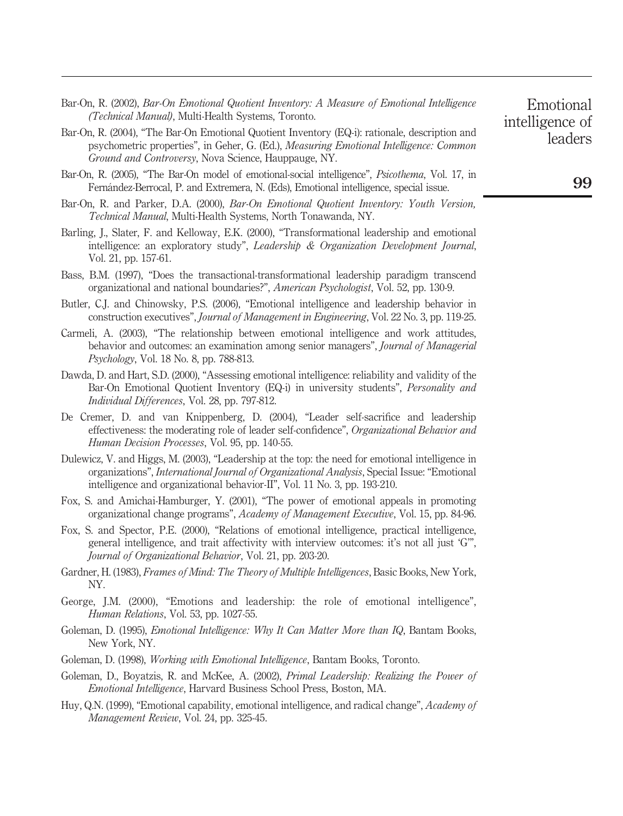- Bar-On, R. (2002), Bar-On Emotional Quotient Inventory: A Measure of Emotional Intelligence (Technical Manual), Multi-Health Systems, Toronto.
- Bar-On, R. (2004), "The Bar-On Emotional Quotient Inventory (EQ-i): rationale, description and psychometric properties", in Geher, G. (Ed.), Measuring Emotional Intelligence: Common Ground and Controversy, Nova Science, Hauppauge, NY.
- Bar-On, R. (2005), "The Bar-On model of emotional-social intelligence", Psicothema, Vol. 17, in Fernández-Berrocal, P. and Extremera, N. (Eds), Emotional intelligence, special issue.
- Bar-On, R. and Parker, D.A. (2000), Bar-On Emotional Quotient Inventory: Youth Version, Technical Manual, Multi-Health Systems, North Tonawanda, NY.
- Barling, J., Slater, F. and Kelloway, E.K. (2000), "Transformational leadership and emotional intelligence: an exploratory study", Leadership & Organization Development Journal, Vol. 21, pp. 157-61.
- Bass, B.M. (1997), "Does the transactional-transformational leadership paradigm transcend organizational and national boundaries?", American Psychologist, Vol. 52, pp. 130-9.
- Butler, C.J. and Chinowsky, P.S. (2006), "Emotional intelligence and leadership behavior in construction executives", Journal of Management in Engineering, Vol. 22 No. 3, pp. 119-25.
- Carmeli, A. (2003), "The relationship between emotional intelligence and work attitudes, behavior and outcomes: an examination among senior managers", Journal of Managerial Psychology, Vol. 18 No. 8, pp. 788-813.
- Dawda, D. and Hart, S.D. (2000), "Assessing emotional intelligence: reliability and validity of the Bar-On Emotional Quotient Inventory (EQ-i) in university students", Personality and Individual Differences, Vol. 28, pp. 797-812.
- De Cremer, D. and van Knippenberg, D. (2004), "Leader self-sacrifice and leadership effectiveness: the moderating role of leader self-confidence", Organizational Behavior and Human Decision Processes, Vol. 95, pp. 140-55.
- Dulewicz, V. and Higgs, M. (2003), "Leadership at the top: the need for emotional intelligence in organizations", International Journal of Organizational Analysis, Special Issue: "Emotional intelligence and organizational behavior-II", Vol. 11 No. 3, pp. 193-210.
- Fox, S. and Amichai-Hamburger, Y. (2001), "The power of emotional appeals in promoting organizational change programs", Academy of Management Executive, Vol. 15, pp. 84-96.
- Fox, S. and Spector, P.E. (2000), "Relations of emotional intelligence, practical intelligence, general intelligence, and trait affectivity with interview outcomes: it's not all just 'G'", Journal of Organizational Behavior, Vol. 21, pp. 203-20.
- Gardner, H. (1983), Frames of Mind: The Theory of Multiple Intelligences, Basic Books, New York, NY.
- George, J.M. (2000), "Emotions and leadership: the role of emotional intelligence", Human Relations, Vol. 53, pp. 1027-55.
- Goleman, D. (1995), Emotional Intelligence: Why It Can Matter More than IQ, Bantam Books, New York, NY.
- Goleman, D. (1998), Working with Emotional Intelligence, Bantam Books, Toronto.
- Goleman, D., Boyatzis, R. and McKee, A. (2002), Primal Leadership: Realizing the Power of Emotional Intelligence, Harvard Business School Press, Boston, MA.
- Huy, Q.N. (1999), "Emotional capability, emotional intelligence, and radical change", Academy of Management Review, Vol. 24, pp. 325-45.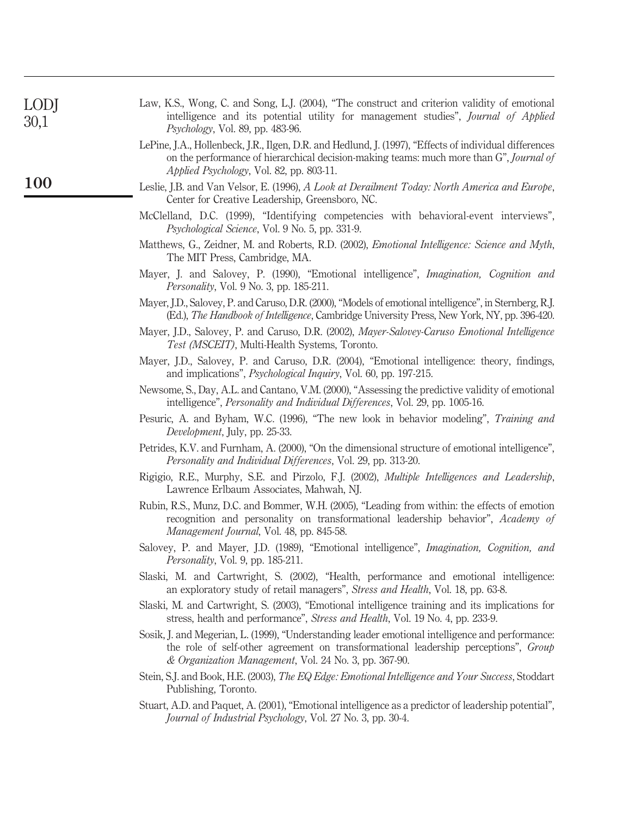| <b>LOD</b><br>30,1 | Law, K.S., Wong, C. and Song, L.J. (2004), "The construct and criterion validity of emotional<br>intelligence and its potential utility for management studies", Journal of Applied<br>Psychology, Vol. 89, pp. 483-96.                              |
|--------------------|------------------------------------------------------------------------------------------------------------------------------------------------------------------------------------------------------------------------------------------------------|
|                    | LePine, J.A., Hollenbeck, J.R., Ilgen, D.R. and Hedlund, J. (1997), "Effects of individual differences<br>on the performance of hierarchical decision-making teams: much more than G", Journal of<br><i>Applied Psychology, Vol. 82, pp. 803-11.</i> |
| <b>100</b>         | Leslie, J.B. and Van Velsor, E. (1996), A Look at Derailment Today: North America and Europe,<br>Center for Creative Leadership, Greensboro, NC.                                                                                                     |
|                    | McClelland, D.C. (1999), "Identifying competencies with behavioral-event interviews",<br><i>Psychological Science, Vol. 9 No. 5, pp. 331-9.</i>                                                                                                      |
|                    | Matthews, G., Zeidner, M. and Roberts, R.D. (2002), Emotional Intelligence: Science and Myth,<br>The MIT Press, Cambridge, MA.                                                                                                                       |
|                    | Mayer, J. and Salovey, P. (1990), "Emotional intelligence", Imagination, Cognition and<br><i>Personality</i> , Vol. 9 No. 3, pp. 185-211.                                                                                                            |
|                    | Mayer, J.D., Salovey, P. and Caruso, D.R. (2000), "Models of emotional intelligence", in Sternberg, R.J.<br>(Ed.), The Handbook of Intelligence, Cambridge University Press, New York, NY, pp. 396-420.                                              |
|                    | Mayer, J.D., Salovey, P. and Caruso, D.R. (2002), Mayer-Salovey-Caruso Emotional Intelligence<br>Test (MSCEIT), Multi-Health Systems, Toronto.                                                                                                       |
|                    | Mayer, J.D., Salovey, P. and Caruso, D.R. (2004), "Emotional intelligence: theory, findings,<br>and implications", Psychological Inquiry, Vol. 60, pp. 197-215.                                                                                      |
|                    | Newsome, S., Day, A.L. and Cantano, V.M. (2000), "Assessing the predictive validity of emotional<br>intelligence", Personality and Individual Differences, Vol. 29, pp. 1005-16.                                                                     |
|                    | Pesuric, A. and Byham, W.C. (1996), "The new look in behavior modeling", Training and<br>Development, July, pp. 25-33.                                                                                                                               |
|                    | Petrides, K.V. and Furnham, A. (2000), "On the dimensional structure of emotional intelligence",<br>Personality and Individual Differences, Vol. 29, pp. 313-20.                                                                                     |
|                    | Rigigio, R.E., Murphy, S.E. and Pirzolo, F.J. (2002), <i>Multiple Intelligences and Leadership</i> ,<br>Lawrence Erlbaum Associates, Mahwah, NJ.                                                                                                     |
|                    | Rubin, R.S., Munz, D.C. and Bommer, W.H. (2005), "Leading from within: the effects of emotion<br>recognition and personality on transformational leadership behavior", Academy of<br>Management Journal, Vol. 48, pp. 845-58.                        |
|                    | Salovey, P. and Mayer, J.D. (1989), "Emotional intelligence", <i>Imagination, Cognition, and</i><br><i>Personality</i> , Vol. 9, pp. 185-211.                                                                                                        |
|                    | Slaski, M. and Cartwright, S. (2002), "Health, performance and emotional intelligence:<br>an exploratory study of retail managers", Stress and Health, Vol. 18, pp. 63-8.                                                                            |
|                    | Slaski, M. and Cartwright, S. (2003), "Emotional intelligence training and its implications for<br>stress, health and performance", <i>Stress and Health</i> , Vol. 19 No. 4, pp. 233-9.                                                             |
|                    | Sosik, J. and Megerian, L. (1999), "Understanding leader emotional intelligence and performance:<br>the role of self-other agreement on transformational leadership perceptions", Group<br>& Organization Management, Vol. 24 No. 3, pp. 367-90.     |
|                    | Stein, S.J. and Book, H.E. (2003), The EQ Edge: Emotional Intelligence and Your Success, Stoddart<br>Publishing, Toronto.                                                                                                                            |
|                    | Stuart, A.D. and Paquet, A. (2001), "Emotional intelligence as a predictor of leadership potential",<br>Journal of Industrial Psychology, Vol. 27 No. 3, pp. 30-4.                                                                                   |
|                    |                                                                                                                                                                                                                                                      |